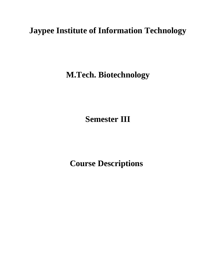# **Jaypee Institute of Information Technology**

**M.Tech. Biotechnology**

**Semester III**

 **Course Descriptions**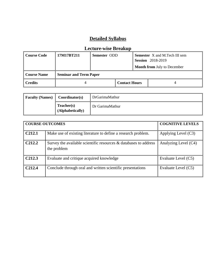## **Detailed Syllabus**

| <b>Course Code</b> | 17M17BT211                    | Semester ODD |                      | <b>Semester</b> X and M.Tech III sem<br><b>Session</b> 2018-2019 |                                    |
|--------------------|-------------------------------|--------------|----------------------|------------------------------------------------------------------|------------------------------------|
|                    |                               |              |                      |                                                                  | <b>Month from July to December</b> |
| Course Name        | <b>Seminar and Term Paper</b> |              |                      |                                                                  |                                    |
| <b>Credits</b>     |                               |              | <b>Contact Hours</b> |                                                                  |                                    |

#### **Lecture-wise Breakup**

| <b>Faculty (Names)</b> | Coordinator(s)                 | DrGarimaMathur  |
|------------------------|--------------------------------|-----------------|
|                        | Teacher(s)<br>(Alphabetically) | Dr GarimaMathur |

| <b>COURSE OUTCOMES</b> | <b>COGNITIVE LEVELS</b>                                                         |                       |
|------------------------|---------------------------------------------------------------------------------|-----------------------|
| C <sub>212.1</sub>     | Make use of existing literature to define a research problem.                   | Applying Level $(C3)$ |
| C <sub>212.2</sub>     | Survey the available scientific resources & databases to address<br>the problem | Analyzing Level (C4)  |
| C <sub>212.3</sub>     | Evaluate and critique acquired knowledge                                        | Evaluate Level (C5)   |
| C <sub>212.4</sub>     | Conclude through oral and written scientific presentations                      | Evaluate Level (C5)   |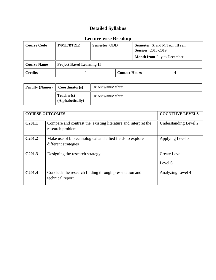### **Detailed Syllabus**

### **Lecture-wise Breakup**

| Course Code | 17M17RT212                       | Semester ODD |                      |  | <b>Semester</b> X and M.Tech III sem<br><b>Session</b> 2018-2019 |
|-------------|----------------------------------|--------------|----------------------|--|------------------------------------------------------------------|
|             |                                  |              |                      |  | <b>Month from July to December</b>                               |
| Course Name | <b>Project Based Learning-II</b> |              |                      |  |                                                                  |
| l Credits   |                                  |              | <b>Contact Hours</b> |  |                                                                  |

| <b>Faculty (Names)</b> | Coordinator(s)                 | Dr AshwaniMathur |
|------------------------|--------------------------------|------------------|
|                        | Teacher(s)<br>(Alphabetically) | Dr AshwaniMathur |

|                    | <b>COURSE OUTCOMES</b>                                                             | <b>COGNITIVE LEVELS</b>        |
|--------------------|------------------------------------------------------------------------------------|--------------------------------|
| C <sub>201.1</sub> | Compare and contrast the existing literature and interpret the<br>research problem | Understanding Level 2          |
| C201.2             | Make use of biotechnological and allied fields to explore<br>different strategies  | Applying Level 3               |
| C <sub>201.3</sub> | Designing the research strategy                                                    | <b>Create Level</b><br>Level 6 |
| C <sub>201.4</sub> | Conclude the research finding through presentation and<br>technical report         | Analyzing Level 4              |